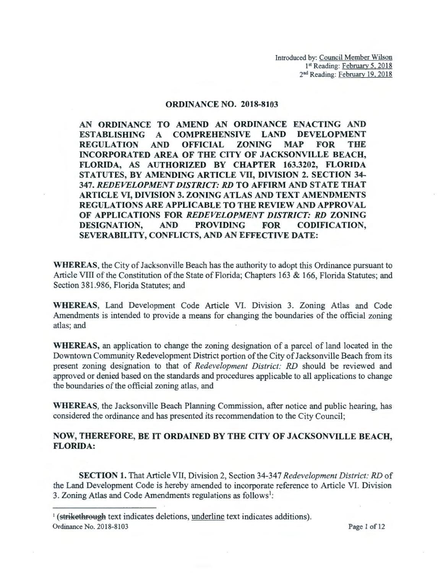## ORDINANCE NO. 2018-8103

AN ORDINANCE TO AMEND AN ORDINANCE ENACTING AND ESTABLISHING A COMPREHENSIVE LAND DEVELOPMENT REGULATION AND OFFICIAL ZONING MAP FOR THE INCORPORATED AREA OF THE CITY OF JACKSONVILLE BEACH, FLORIDA, AS AUTHORIZED BY CHAPTER 163.3202, FLORIDA STATUTES, BY AMENDING ARTICLE VII, DIVISION 2. SECTION 34- 347. *REDEVELOPMENT DISTRICT: RD* TO AFFIRM AND STATE THAT ARTICLE VI, DIVISION 3. ZONING ATLAS AND TEXT AMENDMENTS REGULATIONS ARE APPLICABLE TO THE REVIEW AND APPROVAL OF APPLICATIONS FOR *REDEVELOPMENT DISTRICT: RD* ZONING DESIGNATION, AND PROVIDING FOR CODIFICATION, SEVERABILITY, CONFLICTS, AND AN EFFECTIVE DATE:

WHEREAS, the City of Jacksonville Beach has the authority to adopt this Ordinance pursuant to Article VIII of the Constitution of the State of Florida; Chapters 163 & 166, Florida Statutes; and Section 381.986, Florida Statutes; and

WHEREAS, Land Development Code Article VI. Division 3. Zoning Atlas and Code Amendments is intended to provide a means for changing the boundaries of the official zoning atlas; and

WHEREAS, an application to change the zoning designation of a parcel of land located in the Downtown Community Redevelopment District portion of the City of Jacksonville Beach from its present zoning designation to that of *Redevelopment District: RD* should be reviewed and approved or denied based on the standards and procedures applicable to all applications to change the boundaries of the official zoning atlas, and

WHEREAS, the Jacksonville Beach Planning Commission, after notice and public hearing, has considered the ordinance and has presented its recommendation to the City Council;

## NOW, THEREFORE, BE IT ORDAINED BY THE CITY OF JACKSONVILLE BEACH, FLORIDA:

SECTION 1. That Article VII, Division 2, Section 34-347 *Redevelopment District: RD* of the Land Development Code is hereby amended to incorporate reference to Article VI. Division 3. Zoning Atlas and Code Amendments regulations as follows<sup>1</sup>:

<sup>&</sup>lt;sup>1</sup> (strikethrough text indicates deletions, underline text indicates additions). Ordinance No. 2018-8103 Page 1 of 12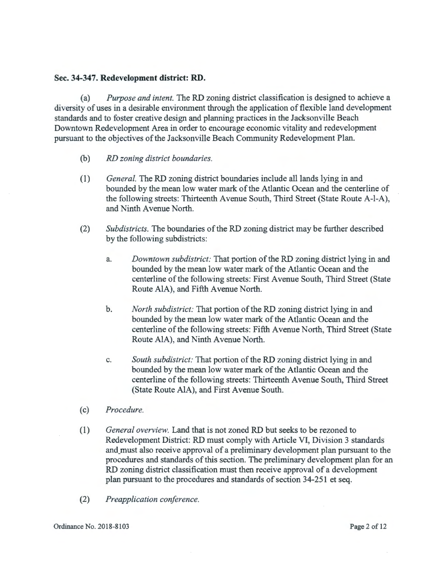## Sec. **34-347. Redevelopment district: RD.**

(a) *Purpose and intent.* The RD zoning district classification is designed to achieve a diversity of uses in a desirable environment through the application of flexible land development standards and to foster creative design and planning practices in the Jacksonville Beach Downtown Redevelopment Area in order to encourage economic vitality and redevelopment pursuant to the objectives of the Jacksonville Beach Community Redevelopment Plan.

- (b) *RD zoning district boundaries.*
- (1) *General.* The RD zoning district boundaries include all lands lying in and bounded by the mean low water mark of the Atlantic Ocean and the centerline of the following streets: Thirteenth Avenue South, Third Street (State Route A-1-A), and Ninth Avenue North.
- (2) *Subdistricts.* The boundaries of the RD zoning district may be further described by the following subdistricts:
	- a. *Downtown subdistrict:* That portion of the RD zoning district lying in and bounded by the mean low water mark of the Atlantic Ocean and the centerline of the following streets: First Avenue South, Third Street (State Route AlA), and Fifth Avenue North.
	- b. *North subdistrict:* That portion of the RD zoning district lying in and bounded by the mean low water mark of the Atlantic Ocean and the centerline of the following streets: Fifth Avenue North, Third Street (State Route AlA), and Ninth Avenue North.
	- c. *South subdistrict:* That portion of the RD zoning district lying in and bounded by the mean low water mark of the Atlantic Ocean and the centerline of the following streets: Thirteenth Avenue South, Third Street (State Route AlA), and First Avenue South.
- ( c) *Procedure.*
- (1) *General overview.* Land that is not zoned RD but seeks to be rezoned to Redevelopment District: RD must comply with Article VI, Division 3 standards and\_must also receive approval of a preliminary development plan pursuant to the procedures and standards of this section. The preliminary development plan for an RD zoning district classification must then receive approval of a development plan pursuant to the procedures and standards of section 34-251 et seq.
- (2) *Preapplication conference.*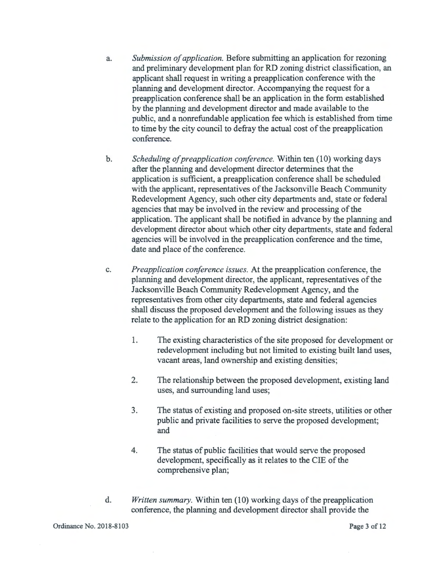- a. *Submission of application.* Before submitting an application for rezoning and preliminary development plan for RD zoning district classification, an applicant shall request in writing a preapplication conference with the planning and development director. Accompanying the request for a preapplication conference shall be an application in the form established by the planning and development director and made available to the public, and a nonrefundable application fee which is established from time to time by the city council to defray the actual cost of the preapplication conference.
- b. *Scheduling of preapplication conference.* Within ten (10) working days after the planning and development director determines that the application is sufficient, a preapplication conference shall be scheduled with the applicant, representatives of the Jacksonville Beach Community Redevelopment Agency, such other city departments and, state or federal agencies that may be involved in the review and processing of the application. The applicant shall be notified in advance by the planning and development director about which other city departments, state and federal agencies will be involved in the preapplication conference and the time, date and place of the conference.
- c. *Preapplication conference issues.* At the preapplication conference, the planning and development director, the applicant, representatives of the Jacksonville Beach Community Redevelopment Agency, and the representatives from other city departments, state and federal agencies shall discuss the proposed development and the following issues as they relate to the application for an RD zoning district designation:
	- 1. The existing characteristics of the site proposed for development or redevelopment including but not limited to existing built land uses, vacant areas, land ownership and existing densities;
	- 2. The relationship between the proposed development, existing land uses, and surrounding land uses;
	- 3. The status of existing and proposed on-site streets, utilities or other public and private facilities to serve the proposed development; and
	- 4. The status of public facilities that would serve the proposed development, specifically as it relates to the CIE of the comprehensive plan;
- d. *Written summary.* Within ten (10) working days of the preapplication conference, the planning and development director shall provide the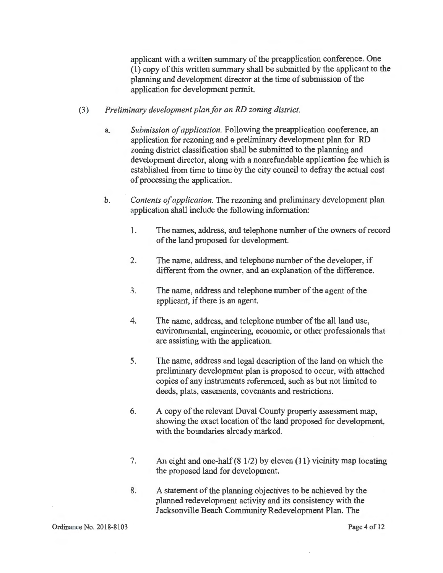applicant with a written summary of the preapplication conference. One (1) copy of this written summary shall be submitted by the applicant to the planning and development director at the time of submission of the application for development permit.

- (3) *Preliminary development plan for an RD zoning district.* 
	- a. *Submission of application.* Following the preapplication conference, an application for rezoning and a preliminary development plan for RD zoning district classification shall be submitted to the planning and development director, along with a nonrefundable application fee which is established from time to time by the city council to defray the actual cost of processing the application.
	- b. *Contents of application.* The rezoning and preliminary development plan application shall include the following information:
		- 1. The names, address, and telephone number of the owners of record of the land proposed for development.
		- 2. The name, address, and telephone number of the developer, if different from the owner, and an explanation of the difference.
		- 3. The name, address and telephone number of the agent of the applicant, if there is an agent.
		- 4. The name, address, and telephone number of the all land use, environmental, engineering, economic, or other professionals that are assisting with the application.
		- 5. The name, address and legal description of the land on which the preliminary development plan is proposed to occur, with attached copies of any instruments referenced, such as but not limited to deeds, plats, easements, covenants and restrictions.
		- 6. A copy of the relevant Duval County property assessment map, showing the exact location of the land proposed for development, with the boundaries already marked.
		- 7. An eight and one-half (8 1/2) by eleven (11) vicinity map locating the proposed land for development.
		- 8. A statement of the planning objectives to be achieved by the planned redevelopment activity and its consistency with the Jacksonville Beach Community Redevelopment Plan. The

Page 4 of 12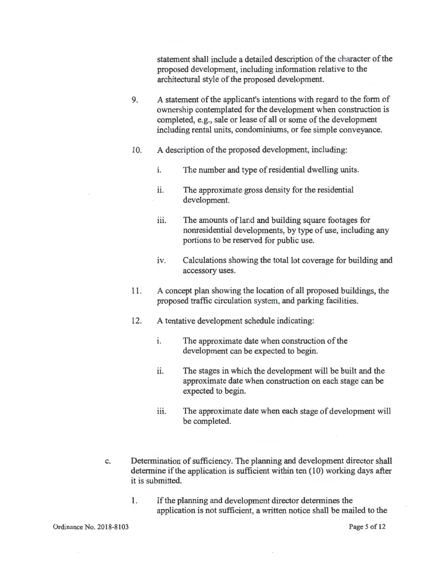statement shall include a detailed description of the character of the proposed development, including information relative to the architectural style of the proposed development.

- 9. A statement of the applicant's intentions with regard to the form of ownership contemplated for the development when construction is completed, e.g., sale or lease of all or some of the development including rental units, condominiums, or fee simple conveyance.
- 10. A description of the proposed development, including:
	- i. The number and type of residential dwelling units.
	- ii. The approximate gross density for the residential development.
	- iii. The amounts of land and building square footages for nonresidential developments, by type of use, including any portions to be reserved for public use.
	- iv. Calculations showing the total lot coverage for building and accessory uses.
- 11. A concept plan showing the location of all proposed buildings, the proposed traffic circulation system, and parking facilities.
- 12. A tentative development schedule indicating:
	- i. The approximate date when construction of the development can be expected to begin.
	- ii. The stages in which the development will be built and the approximate date when construction on each stage can be expected to begin.
	- iii. The approximate date when each stage of development will be completed.
- c. Determination of sufficiency. The planning and development director shall determine if the application is sufficient within ten (10) working days after it is submitted.
	- 1. If the planning and development director determines the application is not sufficient, a written notice shall be mailed to the

Page 5 of 12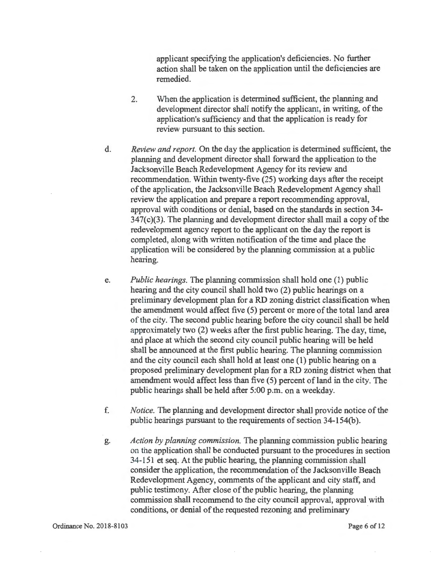applicant specifying the application's deficiencies. No further action shall be taken on the application until the deficiencies are remedied.

- 2. When the application is determined sufficient, the planning and development director shall notify the applicant, in writing, of the application's sufficiency and that the application is ready for review pursuant to this section.
- d. *Review and report.* On the day the application is determined sufficient, the planning and development director shall forward the application to the Jacksonville Beach Redevelopment Agency for its review and recommendation. Within twenty-five (25) working days after the receipt of the application, the Jacksonville Beach Redevelopment Agency shall review the application and prepare a report recommending approval, approval with conditions or denial, based on the standards in section 34-  $347(c)(3)$ . The planning and development director shall mail a copy of the redevelopment agency report to the applicant on the day the report is completed, along with written notification of the time and place the application will be considered by the planning commission at a public hearing.
- e. *Public hearings.* The planning commission shall hold one (1) public hearing and the city council shall hold two (2) public hearings on a preliminary development plan for a RD zoning district classification when the amendment would affect five (5) percent or more of the total land area of the city. The second public hearing before the city council shall be held approximately two (2) weeks after the first public hearing. The day, time, and place at which the second city council public hearing will be held shall be announced at the first public hearing. The planning commission and the city council each shall hold at least one (1) public hearing on a proposed preliminary development plan for a RD zoning district when that amendment would affect less than five (5) percent of land in the city. The public hearings shall be held after 5:00 p.m. on a weekday.
- f. *Notice.* The planning and development director shall provide notice of the public hearings pursuant to the requirements of section 34-154(b).
- g. *Action by planning commission.* The planning commission public hearing on the application shall be conducted pursuant to the procedures in section 34-151 et seq. At the public hearing, the planning commission shall consider the application, the recommendation of the Jacksonville Beach Redevelopment Agency, comments of the applicant and city staff, and public testimony. After close of the public hearing, the planning commission shall recommend to the city council approval, approval with conditions, or denial of the requested rezoning and preliminary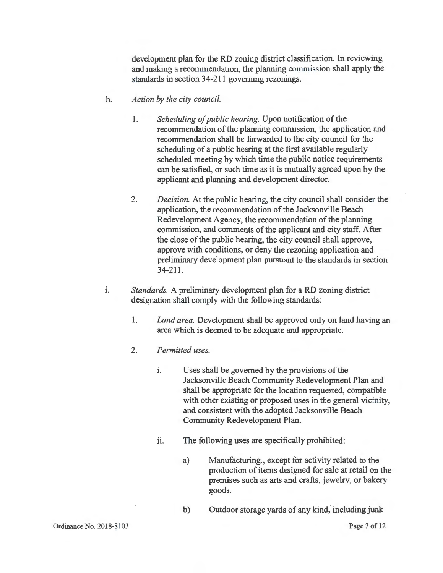development plan for the RD zoning district classification. In reviewing and making a recommendation, the planning commission shall apply the standards in section 34-211 governing rezonings.

- h. *Action by the city council.* 
	- 1. *Scheduling of public hearing.* Upon notification of the recommendation of the planning commission, the application and recommendation shall be forwarded to the city council for the scheduling of a public hearing at the first available regularly scheduled meeting by which time the public notice requirements can be satisfied, or such time as it is mutually agreed upon by the applicant and planning and development director.
	- 2. *Decision.* At the public hearing, the city council shall consider the application, the recommendation of the Jacksonville Beach Redevelopment Agency, the recommendation of the planning commission, and comments of the applicant and city staff. After the close of the public hearing, the city council shall approve, approve with conditions, or deny the rezoning application and preliminary development plan pursuant to the standards in section 34-211.
- i. *Standards.* A preliminary development plan for a RD zoning district designation shall comply with the following standards:
	- 1. *Land area.* Development shall be approved only on land having an area which is deemed to be adequate and appropriate.
	- 2. *Permitted uses.* 
		- i. Uses shall be governed by the provisions of the Jacksonville Beach Community Redevelopment Plan and shall be appropriate for the location requested, compatible with other existing or proposed uses in the general vicinity, and consistent with the adopted Jacksonville Beach Community Redevelopment Plan.
		- ii. The following uses are specifically prohibited:
			- a) Manufacturing., except for activity related to the production of items designed for sale at retail on the premises such as arts and crafts, jewelry, or bakery goods.
			- b) Outdoor storage yards of any kind, including junk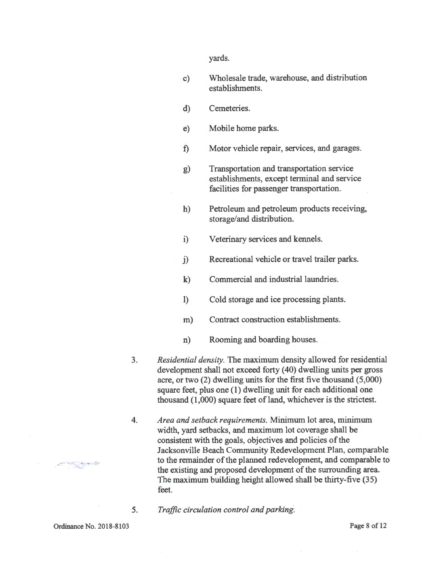yards.

- c) Wholesale trade, warehouse, and distribution establishments.
- d) Cemeteries.
- e) Mobile home parks.
- f) Motor vehicle repair, services, and garages.
- g) Transportation and transportation service establishments, except terminal and service facilities for passenger transportation.
- h) Petroleum and petroleum products receiving, storage/and distribution.
- i) Veterinary services and kennels.
- j) Recreational vehicle or travel trailer parks.
- k) Commercial and industrial laundries.
- 1) Cold storage and ice processing plants.
- m) Contract construction establishments.
- n) Rooming and boarding houses.
- 3. *Residential density.* The maximum density allowed for residential development shall not exceed forty (40) dwelling units per gross acre, or two (2) dwelling units for the first five thousand (5,000) square feet, plus one (1) dwelling unit for each additional one thousand  $(1,000)$  square feet of land, whichever is the strictest.
- 4. *Area and setback requirements.* Minimum lot area, minimum width, yard setbacks, and maximum lot coverage shall be consistent with the goals, objectives and policies of the Jacksonville Beach Community Redevelopment Plan, comparable to the remainder of the planned redevelopment, and comparable to the existing and proposed development of the surrounding area. The maximum building height allowed shall be thirty-five (35) feet.
	- *Traffic circulation control and parking.*

Ordinance No. 2018-8103

5.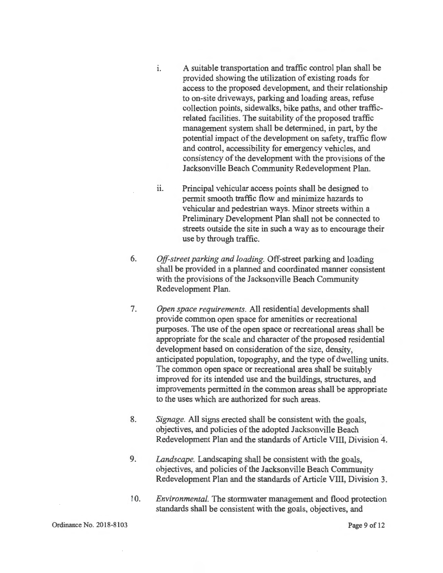- i. A suitable transportation and traffic control plan shall be provided showing the utilization of existing roads for access to the proposed development, and their relationship to on-site driveways, parking and loading areas, refuse collection points, sidewalks, bike paths, and other trafficrelated facilities. The suitability of the proposed traffic management system shall be determined, in part, by the potential impact of the development on safety, traffic flow and control, accessibility for emergency vehicles, and consistency of the development with the provisions of the Jacksonville Beach Community Redevelopment Plan.
- ii. Principal vehicular access points shall be designed to permit smooth traffic flow and minimize hazards to vehicular and pedestrian ways. Minor streets within a Preliminary Development Plan shall not be connected to streets outside the site in such a way as to encourage their use by through traffic.
- 6. *Off-street parking and loading.* Off-street parking and loading shall be provided in a planned and coordinated manner consistent with the provisions of the Jacksonville Beach Community Redevelopment Plan.
- 7. *Open space requirements.* All residential developments shall provide common open space for amenities or recreational purposes. The use of the open space or recreational areas shall be appropriate for the scale and character of the proposed residential development based on consideration of the size, density, anticipated population, topography, and the type of dwelling units. The common open space or recreational area shall be suitably improved for its intended use and the buildings, structures, and improvements permitted in the common areas shall be appropriate to the uses which are authorized for such areas.
- 8. *Signage.* All signs erected shall be consistent with the goals, objectives, and policies of the adopted Jacksonville Beach Redevelopment Plan and the standards of Article VIII, Division 4.
- 9. *Landscape.* Landscaping shall be consistent with the goals, objectives, and policies of the Jacksonville Beach Community Redevelopment Plan and the standards of Article VIII, Division 3.
- 10. *Environmental.* The stormwater management and flood protection standards shall be consistent with the goals, objectives, and

Ordinance No. 2018-8103

Page 9 of 12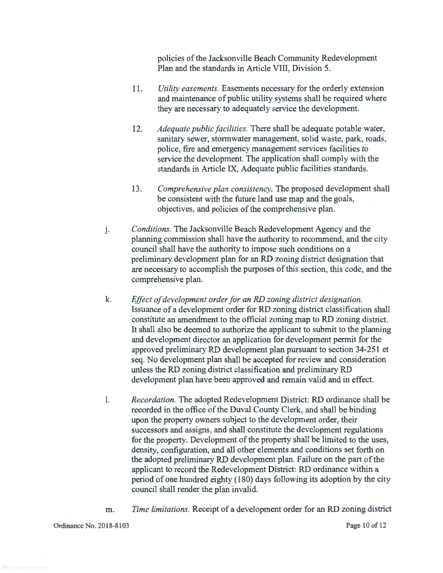policies of the Jacksonville Beach Community Redevelopment Plan and the standards in Article VIII, Division 5.

- 11. *Utility easements.* Easements necessary for the orderly extension and maintenance of public utility systems shall be required where they are necessary to adequately service the development.
- 12. *Adequate public facilities.* There shall be adequate potable water, sanitary sewer, stormwater management, solid waste, park, roads, police, fire and emergency management services facilities to service the development. The application shall comply with the standards in Article IX, Adequate public facilities standards.
- 13. *Comprehensive plan consistency.* The proposed development shall be consistent with the future land use map and the goals, objectives, and policies of the comprehensive plan.
- J. *Conditions.* The Jacksonville Beach Redevelopment Agency and the planning commission shall have the authority to recommend, and the city council shall have the authority to impose such conditions on a preliminary development plan for an RD zoning district designation that are necessary to accomplish the purposes of this section, this code, and the comprehensive plan.
- k. *Effect of development order for an RD zoning district designation.*  Issuance of a development order for RD zoning district classification shall constitute an amendment to the official zoning map to RD zoning district. It shall also be deemed to authorize the applicant to submit to the planning and development director an application for development permit for the approved preliminary RD development plan pursuant to section 34-251 et seq. No development plan shall be accepted for review and consideration unless the RD zoning district classification and preliminary RD development plan have been approved and remain valid and in effect.
- 1. *Recordation.* The adopted Redevelopment District: RD ordinance shall be recorded in the office of the Duval County Clerk, and shall be binding upon the property owners subject to the development order, their successors and assigns, and shall constitute the development regulations for the property. Development of the property shall be limited to the uses, density, configuration, and all other elements and conditions set forth on the adopted preliminary RD development plan. Failure on the part of the applicant to record the Redevelopment District: RD ordinance within a period of one hundred eighty (180) days following its adoption by the city council shall render the plan invalid.
- m. *Time limitations.* Receipt of a development order for an RD zoning district

Ordinance No. 2018-8103 Page 10of12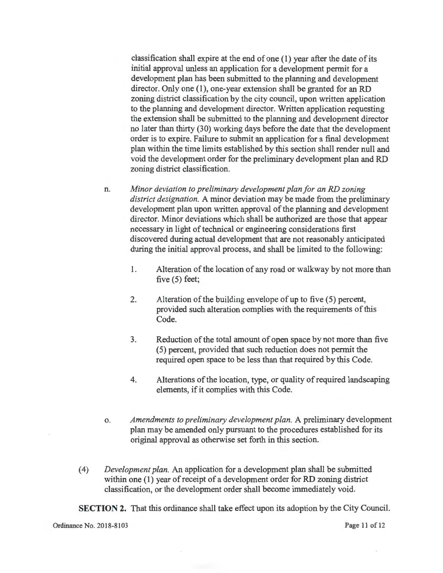classification shall expire at the end of one  $(1)$  year after the date of its initial approval unless an application for a development permit for a development plan has been submitted to the planning and development director. Only one (1), one-year extension shall be granted for an RD zoning district classification by the city council, upon written application to the planning and development director. Written application requesting the extension shall be submitted to the planning and development director no later than thirty (30) working days before the date that the development order is to expire. Failure to submit an application for a final development plan within the time limits established by this section shall render null and void the development order for the preliminary development plan and RD zoning district classification.

- n. *Minor deviation to preliminary development plan for an RD zoning district designation.* A minor deviation may be made from the preliminary development plan upon written approval of the planning and development director. Minor deviations which shall be authorized are those that appear necessary in light of technical or engineering considerations first discovered during actual development that are not reasonably anticipated during the initial approval process, and shall be limited to the following:
	- 1. Alteration of the location of any road or walkway by not more than five (5) feet;
	- 2. Alteration of the building envelope of up to five (5) percent, provided such alteration complies with the requirements of this Code.
	- 3. Reduction of the total amount of open space by not more than five ( 5) percent, provided that such reduction does not permit the required open space to be less than that required by this Code.
	- 4. Alterations of the location, type, or quality of required landscaping elements, if it complies with this Code.
- o. *Amendments to preliminary development plan.* A preliminary development plan may be amended only pursuant to the procedures established for its original approval as otherwise set forth in this section.
- ( 4) *Development plan.* An application for a development plan shall be submitted within one (1) year of receipt of a development order for RD zoning district classification, or the development order shall become immediately void.

**SECTION 2.** That this ordinance shall take effect upon its adoption by the City Council.

Ordinance No. 2018-8103 **Page 11** of 12